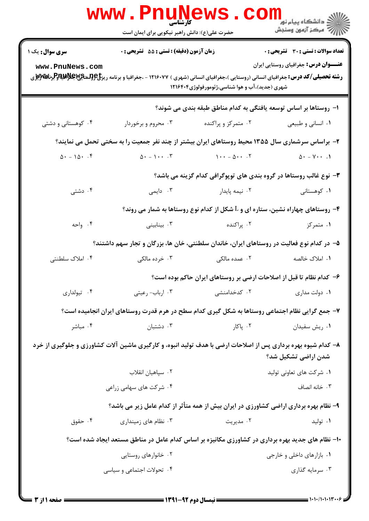|                                               | www.Pnu̯news.co<br>حضرت علی(ع): دانش راهبر نیکویی برای ایمان است                                                                                                                                                                                                                        |                                                                                               | الان دانشگاه پيام نور دارد.<br>۱۳۸۷ مرکز آزمون وسنجش                                        |
|-----------------------------------------------|-----------------------------------------------------------------------------------------------------------------------------------------------------------------------------------------------------------------------------------------------------------------------------------------|-----------------------------------------------------------------------------------------------|---------------------------------------------------------------------------------------------|
| <b>سری سوال :</b> یک ۱<br>www.PnuNews.com     | زمان آزمون (دقیقه) : تستی : 55 گشریحی : 0<br><b>رشته تحصیلی/کد درس:</b> جغرافیای انسانی (روستایی )،جغرافیای انسانی (شهری ) ۱۲۱۶۰۷۷ - ،جغرافیا و برنامه ریز <b>خ عوالیته چاپلانها وظبر تاپلان اس</b> تانی (روستایی) بازی استانی (روستایی) بازی استانی (روستایی) بازی استانی (روستایی) با | شهری (جدید)،آب و هوا شناسی،ژئومورفولوژی۱۲۱۶۴۰۴                                                | <b>تعداد سوالات : تستی : 30 ٪ تشریحی : 0</b><br><b>عنـــوان درس:</b> جغرافیای روستایی ایران |
|                                               |                                                                                                                                                                                                                                                                                         | ا– روستاها بر اساس توسعه یافتگی به کدام مناطق طبقه بندی می شوند؟                              |                                                                                             |
| ۰۴ کوهستانی و دشتی                            | ۰۳ محروم و برخوردار                                                                                                                                                                                                                                                                     | ۰۲ متمرکز و پراکنده                                                                           | ۰۱ انساني و طبيعي                                                                           |
|                                               | ۲- براساس سرشماری سال ۱۳۵۵ محیط روستاهای ایران بیشتر از چند نفر جمعیت را به سختی تحمل می نمایند؟                                                                                                                                                                                        |                                                                                               |                                                                                             |
| $\Delta \cdot - 1 \Delta \cdot \cdot \cdot f$ | $\Delta \cdot - \Delta \cdot \cdot \cdot \cdot \cdot \cdot \cdot \cdot$                                                                                                                                                                                                                 | $1 \cdot \cdot - \Delta \cdot \cdot \cdot$ $\uparrow$ $\Delta \cdot - \vee \cdot \cdot \cdot$ |                                                                                             |
|                                               |                                                                                                                                                                                                                                                                                         | ۳- نوع غالب روستاها در گروه بندی های توپوگرافی کدام گزینه می باشد؟                            |                                                                                             |
| ۰۴ دشتی                                       | ۰۳ دایمی                                                                                                                                                                                                                                                                                | ٠٢ نيمه پايدار                                                                                | ۰۱ کوهستانی                                                                                 |
|                                               |                                                                                                                                                                                                                                                                                         | وروستاهای چهاراه نشین، ستاره ای و $\rm{L}$ شکل از کدام نوع روستاها به شمار می روند؟ +         |                                                                                             |
| ۰۴ واحه                                       | ۰۳ بینابینی                                                                                                                                                                                                                                                                             | ۰۲ پراکنده                                                                                    | ۰۱ متمرکز                                                                                   |
|                                               | ۵– در کدام نوع فعالیت در روستاهای ایران، خاندان سلطنتی، خان ها، بزرگان و تجار سهم داشتند؟                                                                                                                                                                                               |                                                                                               |                                                                                             |
| ۰۴ املاک سلطنتی                               | ۰۳ خرده مالکی                                                                                                                                                                                                                                                                           | ۰۲ عمده مالکی                                                                                 | ۰۱ املاک خالصه                                                                              |
|                                               |                                                                                                                                                                                                                                                                                         | ۶- کدام نظام تا قبل از اصلاحات ارضی بر روستاهای ایران حاکم بوده است؟                          |                                                                                             |
| ۰۴ تیولداری                                   | ۰۳ ارباب- رعيتي                                                                                                                                                                                                                                                                         | ۰۲ کدخدامنشی                                                                                  | ۰۱ دولت مداری                                                                               |
|                                               | ۷- جمع گرایی نظام اجتماعی روستاها به شکل گیری کدام سطح در هرم قدرت روستاهای ایران انجامیده است؟                                                                                                                                                                                         |                                                                                               |                                                                                             |
| ۰۴ مباشر                                      | ۰۳ دشتبان                                                                                                                                                                                                                                                                               | ۰۲ پاکار                                                                                      | ٠١ ريش سفيدان                                                                               |
|                                               | ۸- کدام شیوه بهره برداری پس از اصلاحات ارضی با هدف تولید انبوه، و کارگیری ماشین آلات کشاورزی و جلوگیری از خرد                                                                                                                                                                           |                                                                                               | شدن اراضی تشکیل شد؟                                                                         |
|                                               | ۰۲ سپاهیان انقلاب                                                                                                                                                                                                                                                                       |                                                                                               | ۰۱ شرکت های تعاونی تولید                                                                    |
|                                               | ۰۴ شرکت های سهامی زراعی                                                                                                                                                                                                                                                                 |                                                                                               | ۰۳ خانه انصاف                                                                               |
|                                               | ۹- نظام بهره برداری اراضی کشاورزی در ایران بیش از همه متأثر از کدام عامل زیر می باشد؟                                                                                                                                                                                                   |                                                                                               |                                                                                             |
| ۰۴ حقوق                                       | ۰۳ نظام های زمینداری                                                                                                                                                                                                                                                                    | ۰۲ مدیریت                                                                                     | ۰۱ تولید                                                                                    |
|                                               | ۱۰- نظام های جدید بهره برداری در کشاورزی مکانیزه بر اساس کدام عامل در مناطق مستعد ایجاد شده است؟                                                                                                                                                                                        |                                                                                               |                                                                                             |
|                                               | ۰۲ خانوارهای روستایی                                                                                                                                                                                                                                                                    |                                                                                               | ۰۱ بازارهای داخلی و خارجی                                                                   |
|                                               | ۰۴ تحولات اجتماعی و سیاسی                                                                                                                                                                                                                                                               |                                                                                               | ۰۳ سرمایه گذاری                                                                             |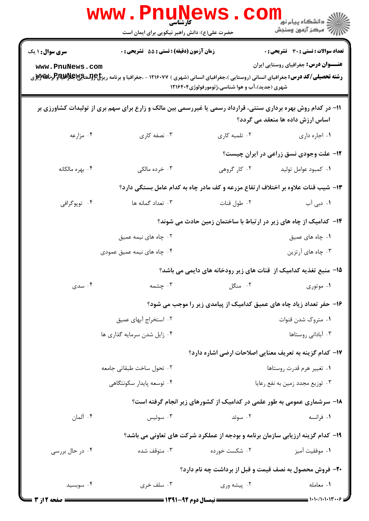|                        | <b>www.PnuNews</b><br>ڪ دانشڪاه پيا <sub>م</sub> نور<br><mark>ر</mark> ∕ مرڪز آزمون وسنڊش                    |                                                     |                                                                                  |
|------------------------|--------------------------------------------------------------------------------------------------------------|-----------------------------------------------------|----------------------------------------------------------------------------------|
|                        | حضرت علی(ع): دانش راهبر نیکویی برای ایمان است                                                                |                                                     |                                                                                  |
| <b>سری سوال : ۱ یک</b> | زمان آزمون (دقیقه) : تستی : 55 آتشریحی : 0                                                                   |                                                     | <b>تعداد سوالات : تستی : 30 ٪ تشریحی : 0</b>                                     |
| www.PnuNews.com        |                                                                                                              | شهری (جدید)،آب و هوا شناسی،ژئومورفولوژی۲۱۶۴۰۴       | <b>عنـــوان درس:</b> جغرافیای روستایی ایران                                      |
|                        | 1۱– در کدام روش بهره برداری سنتی، قرارداد رسمی یا غیررسمی بین مالک و زارع برای سهم بری از تولیدات کشاورزی بر |                                                     | اساس ارزش داده ها منعقد می گردد؟                                                 |
| ۰۴ مزارعه              | ۰۳ نصفه کاری                                                                                                 | ۰۲ تلمبه کاری                                       | ٠١. اجاره داري                                                                   |
|                        |                                                                                                              |                                                     | <b>۱۲</b> - علت وجودی نسق زراعی در ایران چیست؟                                   |
| ۰۴ بهره مالکانه        | ۰۳ خرده مالکی                                                                                                | ۰۲ کار گروهی                                        | ٠١ كمبود عوامل توليد                                                             |
|                        |                                                                                                              |                                                     | ۱۳- شیب قنات علاوه بر اختلاف ارتفاع مزرعه و کف مادر چاه به کدام عامل بستگی دارد؟ |
| ۰۴ توپوگرافي           | ۰۳ تعداد گمانه ها                                                                                            | ۰۲ طول قنات                                         | <b>۱.</b> دبی آب                                                                 |
|                        |                                                                                                              |                                                     | ۱۴– کدامیک از چاه های زیر در ارتباط با ساختمان زمین حادث می شوند؟                |
|                        | ۰۲ چاه های نیمه عمیق                                                                                         |                                                     | ۰۱ چاه های عمیق                                                                  |
|                        | ۰۴ چاه های نیمه عمیق عمودی                                                                                   |                                                     | ۰۳ چاه های آرتزین                                                                |
|                        |                                                                                                              |                                                     | 15- منبع تغذیه کدامیک از قنات های زیر رودخانه های دایمی می باشد؟                 |
| ۰۴ سدی                 | ۰۳ چشمه                                                                                                      | ۰۲ منگل                                             | ۰۱ موتوری                                                                        |
|                        |                                                                                                              |                                                     | ۱۶- حفر تعداد زیاد چاه های عمیق کدامیک از پیامدی زیر را موجب می شود؟             |
|                        | ۰۲ استخراج آبهای عمیق                                                                                        |                                                     | ۰۱ متروک شدن قنوات                                                               |
|                        | ۰۴ زایل شدن سرمایه گذاری ها                                                                                  |                                                     | ۰۳ آبادانی روستاها                                                               |
|                        |                                                                                                              |                                                     | ۱۷– کدام گزینه به تعریف معنایی اصلاحات ارضی اشاره دارد؟                          |
|                        | ٠٢ تحول ساخت طبقاتي جامعه                                                                                    | ٠١ تغيير هرم قدرت روستاها                           |                                                                                  |
|                        | ۰۴ توسعه پایدار سکونتگاهی                                                                                    | ۰۳ توزیع مجدد زمین به نفع رعایا                     |                                                                                  |
|                        |                                                                                                              |                                                     | ۱۸- سرشماری عمومی به طور علمی در کدامیک از کشورهای زیر انجام گرفته است؟          |
| ۰۴ آلمان               | سوئيس $\cdot$ ۳                                                                                              | ۰۲ سوئد                                             | ۰۱ فرانسه                                                                        |
|                        |                                                                                                              |                                                     | ۱۹- کدام گزینه ارزیابی سازمان برنامه و بودجه از عملکرد شرکت های تعاونی می باشد؟  |
| ۰۴ در حال بررسی        | ۰۳ متوقف شده                                                                                                 | ۰۲ شکست خورده                                       | ٠١. موفقيت آميز                                                                  |
|                        |                                                                                                              |                                                     | <b>۲۰</b> - فروش محصول به نصف قیمت و قبل از برداشت چه نام دارد؟                  |
| ۰۴ سوبسید              | ۰۳ سلف خری                                                                                                   | ۰۲ پیشه وری                                         | ٠١. معامله                                                                       |
| = صفحه 12; 3           |                                                                                                              | <b>ـــــــــــــــ نیمسال دوم ۹۲-۱۳۹۱ ـــــــــ</b> | $1 - 1 - 11 - 11 + 11 - 9 =$                                                     |